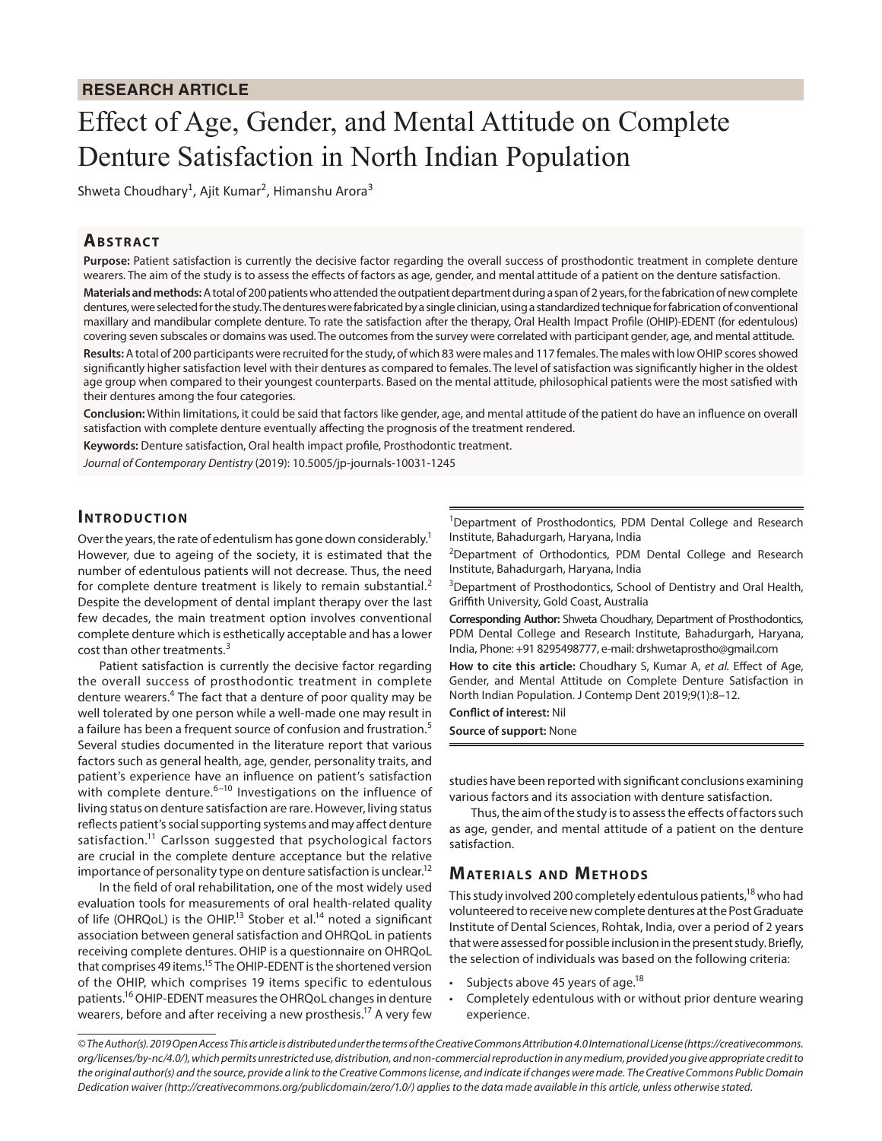# **RESEARCH ARTICLE**

# Effect of Age, Gender, and Mental Attitude on Complete Denture Satisfaction in North Indian Population

Shweta Choudhary<sup>1</sup>, Ajit Kumar<sup>2</sup>, Himanshu Arora<sup>3</sup>

## **ABSTRACT**

**Purpose:** Patient satisfaction is currently the decisive factor regarding the overall success of prosthodontic treatment in complete denture wearers. The aim of the study is to assess the effects of factors as age, gender, and mental attitude of a patient on the denture satisfaction.

**Materials and methods:** A total of 200 patients who attended the outpatient department during a span of 2 years, for the fabrication of new complete dentures, were selected for the study. The dentures were fabricated by a single clinician, using a standardized technique for fabrication of conventional maxillary and mandibular complete denture. To rate the satisfaction after the therapy, Oral Health Impact Profile (OHIP)-EDENT (for edentulous) covering seven subscales or domains was used. The outcomes from the survey were correlated with participant gender, age, and mental attitude.

**Results:** A total of 200 participants were recruited for the study, of which 83 were males and 117 females. The males with low OHIP scores showed significantly higher satisfaction level with their dentures as compared to females. The level of satisfaction was significantly higher in the oldest age group when compared to their youngest counterparts. Based on the mental attitude, philosophical patients were the most satisfied with their dentures among the four categories.

**Conclusion:** Within limitations, it could be said that factors like gender, age, and mental attitude of the patient do have an influence on overall satisfaction with complete denture eventually affecting the prognosis of the treatment rendered.

**Keywords:** Denture satisfaction, Oral health impact profile, Prosthodontic treatment.

*Journal of Contemporary Dentistry* (2019): 10.5005/jp-journals-10031-1245

# **INTRODUCTION**

Over the years, the rate of edentulism has gone down considerably.<sup>1</sup> However, due to ageing of the society, it is estimated that the number of edentulous patients will not decrease. Thus, the need for complete denture treatment is likely to remain substantial.<sup>2</sup> Despite the development of dental implant therapy over the last few decades, the main treatment option involves conventional complete denture which is esthetically acceptable and has a lower cost than other treatments.<sup>3</sup>

Patient satisfaction is currently the decisive factor regarding the overall success of prosthodontic treatment in complete denture wearers.<sup>4</sup> The fact that a denture of poor quality may be well tolerated by one person while a well-made one may result in a failure has been a frequent source of confusion and frustration.<sup>5</sup> Several studies documented in the literature report that various factors such as general health, age, gender, personality traits, and patient's experience have an influence on patient's satisfaction with complete denture.<sup>6-10</sup> Investigations on the influence of living status on denture satisfaction are rare. However, living status reflects patient's social supporting systems and may affect denture satisfaction.<sup>11</sup> Carlsson suggested that psychological factors are crucial in the complete denture acceptance but the relative importance of personality type on denture satisfaction is unclear.<sup>12</sup>

In the field of oral rehabilitation, one of the most widely used evaluation tools for measurements of oral health-related quality of life (OHRQoL) is the OHIP.<sup>13</sup> Stober et al.<sup>14</sup> noted a significant association between general satisfaction and OHRQoL in patients receiving complete dentures. OHIP is a questionnaire on OHRQoL that comprises 49 items.<sup>15</sup> The OHIP-EDENT is the shortened version of the OHIP, which comprises 19 items specific to edentulous patients.16 OHIP-EDENT measures the OHRQoL changes in denture wearers, before and after receiving a new prosthesis.<sup>17</sup> A very few

<sup>1</sup>Department of Prosthodontics, PDM Dental College and Research Institute, Bahadurgarh, Haryana, India

<sup>2</sup>Department of Orthodontics, PDM Dental College and Research Institute, Bahadurgarh, Haryana, India

<sup>3</sup>Department of Prosthodontics, School of Dentistry and Oral Health, Griffith University, Gold Coast, Australia

**Corresponding Author:** Shweta Choudhary, Department of Prosthodontics, PDM Dental College and Research Institute, Bahadurgarh, Haryana, India, Phone: +91 8295498777, e-mail: drshwetaprostho@gmail.com

**How to cite this article:** Choudhary S, Kumar A, *et al.* Effect of Age, Gender, and Mental Attitude on Complete Denture Satisfaction in North Indian Population. J Contemp Dent 2019;9(1):8–12.

**Conflict of interest:** Nil

**Source of support:** None

studies have been reported with significant conclusions examining various factors and its association with denture satisfaction.

Thus, the aim of the study is to assess the effects of factors such as age, gender, and mental attitude of a patient on the denture satisfaction.

# **MATERIALS AND METHODS**

This study involved 200 completely edentulous patients,<sup>18</sup> who had volunteered to receive new complete dentures at the Post Graduate Institute of Dental Sciences, Rohtak, India, over a period of 2 years that were assessed for possible inclusion in the present study. Briefly, the selection of individuals was based on the following criteria:

- Subjects above 45 years of age.<sup>18</sup>
- Completely edentulous with or without prior denture wearing experience.

*<sup>©</sup> The Author(s). 2019 Open Access This article is distributed under the terms of the Creative Commons Attribution 4.0 International License (https://creativecommons. org/licenses/by-nc/4.0/), which permits unrestricted use, distribution, and non-commercial reproduction in any medium, provided you give appropriate credit to the original author(s) and the source, provide a link to the Creative Commons license, and indicate if changes were made. The Creative Commons Public Domain Dedication waiver (http://creativecommons.org/publicdomain/zero/1.0/) applies to the data made available in this article, unless otherwise stated.*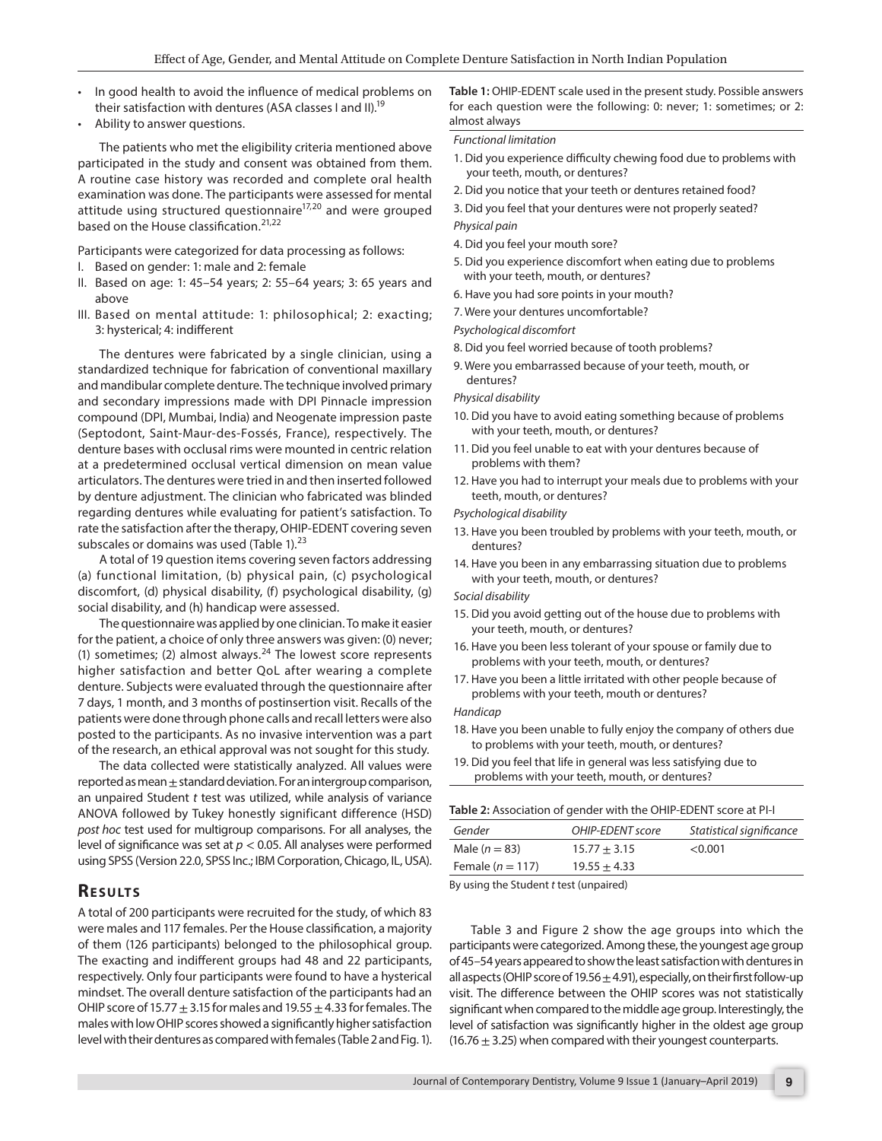- In good health to avoid the influence of medical problems on their satisfaction with dentures (ASA classes I and II).<sup>19</sup>
- Ability to answer questions.

The patients who met the eligibility criteria mentioned above participated in the study and consent was obtained from them. A routine case history was recorded and complete oral health examination was done. The participants were assessed for mental attitude using structured questionnaire<sup>17,20</sup> and were grouped based on the House classification.<sup>21,22</sup>

Participants were categorized for data processing as follows:

- I. Based on gender: 1: male and 2: female
- II. Based on age: 1: 45–54 years; 2: 55–64 years; 3: 65 years and above
- III. Based on mental attitude: 1: philosophical; 2: exacting; 3: hysterical; 4: indifferent

The dentures were fabricated by a single clinician, using a standardized technique for fabrication of conventional maxillary and mandibular complete denture. The technique involved primary and secondary impressions made with DPI Pinnacle impression compound (DPI, Mumbai, India) and Neogenate impression paste (Septodont, Saint-Maur-des-Fossés, France), respectively. The denture bases with occlusal rims were mounted in centric relation at a predetermined occlusal vertical dimension on mean value articulators. The dentures were tried in and then inserted followed by denture adjustment. The clinician who fabricated was blinded regarding dentures while evaluating for patient's satisfaction. To rate the satisfaction after the therapy, OHIP-EDENT covering seven subscales or domains was used (Table  $1$ ).<sup>23</sup>

A total of 19 question items covering seven factors addressing (a) functional limitation, (b) physical pain, (c) psychological discomfort, (d) physical disability, (f) psychological disability, (g) social disability, and (h) handicap were assessed.

The questionnaire was applied by one clinician. To make it easier for the patient, a choice of only three answers was given: (0) never; (1) sometimes; (2) almost always. $^{24}$  The lowest score represents higher satisfaction and better QoL after wearing a complete denture. Subjects were evaluated through the questionnaire after 7 days, 1 month, and 3 months of postinsertion visit. Recalls of the patients were done through phone calls and recall letters were also posted to the participants. As no invasive intervention was a part of the research, an ethical approval was not sought for this study.

The data collected were statistically analyzed. All values were reported as mean  $\pm$  standard deviation. For an intergroup comparison, an unpaired Student *t* test was utilized, while analysis of variance ANOVA followed by Tukey honestly significant difference (HSD) *post hoc* test used for multigroup comparisons. For all analyses, the level of significance was set at *p* < 0.05. All analyses were performed using SPSS (Version 22.0, SPSS Inc.; IBM Corporation, Chicago, IL, USA).

# **RESULTS**

A total of 200 participants were recruited for the study, of which 83 were males and 117 females. Per the House classification, a majority of them (126 participants) belonged to the philosophical group. The exacting and indifferent groups had 48 and 22 participants, respectively. Only four participants were found to have a hysterical mindset. The overall denture satisfaction of the participants had an OHIP score of 15.77  $\pm$  3.15 for males and 19.55  $\pm$  4.33 for females. The males with low OHIP scores showed a significantly higher satisfaction level with their dentures as compared with females (Table 2 and Fig. 1).

**Table 1:** OHIP-EDENT scale used in the present study. Possible answers for each question were the following: 0: never; 1: sometimes; or 2: almost always

#### *Functional limitation*

- 1. Did you experience difficulty chewing food due to problems with your teeth, mouth, or dentures?
- 2. Did you notice that your teeth or dentures retained food?
- 3. Did you feel that your dentures were not properly seated? *Physical pain*
- 4. Did you feel your mouth sore?
- 5. Did you experience discomfort when eating due to problems with your teeth, mouth, or dentures?
- 6. Have you had sore points in your mouth?
- 7. Were your dentures uncomfortable?
- *Psychological discomfort*
- 8. Did you feel worried because of tooth problems?
- 9. Were you embarrassed because of your teeth, mouth, or dentures?

#### *Physical disability*

- 10. Did you have to avoid eating something because of problems with your teeth, mouth, or dentures?
- 11. Did you feel unable to eat with your dentures because of problems with them?
- 12. Have you had to interrupt your meals due to problems with your teeth, mouth, or dentures?

#### *Psychological disability*

- 13. Have you been troubled by problems with your teeth, mouth, or dentures?
- 14. Have you been in any embarrassing situation due to problems with your teeth, mouth, or dentures?

#### *Social disability*

- 15. Did you avoid getting out of the house due to problems with your teeth, mouth, or dentures?
- 16. Have you been less tolerant of your spouse or family due to problems with your teeth, mouth, or dentures?
- 17. Have you been a little irritated with other people because of problems with your teeth, mouth or dentures?

#### *Handicap*

- 18. Have you been unable to fully enjoy the company of others due to problems with your teeth, mouth, or dentures?
- 19. Did you feel that life in general was less satisfying due to problems with your teeth, mouth, or dentures?

#### **Table 2:** Association of gender with the OHIP-EDENT score at PI-I

| Gender                                                    | OHIP-EDENT score | Statistical significance |  |  |  |
|-----------------------------------------------------------|------------------|--------------------------|--|--|--|
| Male $(n = 83)$                                           | $15.77 + 3.15$   | < 0.001                  |  |  |  |
| Female $(n = 117)$                                        | $19.55 + 4.33$   |                          |  |  |  |
| Descriptions the Christian County of the County of the UN |                  |                          |  |  |  |

By using the Student *t* test (unpaired)

Table 3 and Figure 2 show the age groups into which the participants were categorized. Among these, the youngest age group of 45–54 years appeared to show the least satisfaction with dentures in all aspects (OHIP score of 19.56  $\pm$  4.91), especially, on their first follow-up visit. The difference between the OHIP scores was not statistically significant when compared to the middle age group. Interestingly, the level of satisfaction was significantly higher in the oldest age group  $(16.76 \pm 3.25)$  when compared with their youngest counterparts.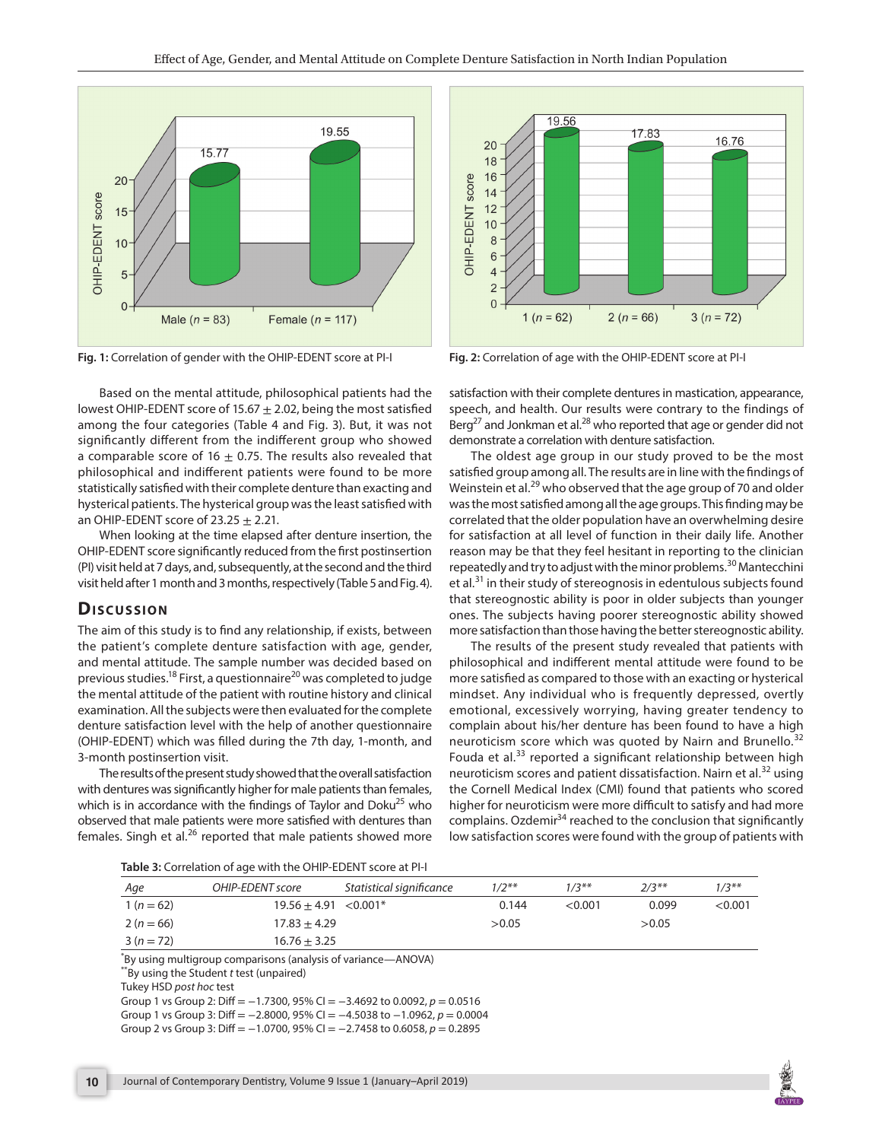

**Fig. 1:** Correlation of gender with the OHIP-EDENT score at PI-I

Based on the mental attitude, philosophical patients had the lowest OHIP-EDENT score of 15.67  $\pm$  2.02, being the most satisfied among the four categories (Table 4 and Fig. 3). But, it was not significantly different from the indifferent group who showed a comparable score of 16  $\pm$  0.75. The results also revealed that philosophical and indifferent patients were found to be more statistically satisfied with their complete denture than exacting and hysterical patients. The hysterical group was the least satisfied with an OHIP-EDENT score of  $23.25 \pm 2.21$ .

When looking at the time elapsed after denture insertion, the OHIP-EDENT score significantly reduced from the first postinsertion (PI) visit held at 7 days, and, subsequently, at the second and the third visit held after 1 month and 3 months, respectively (Table 5 and Fig. 4).

# **Dis c u s sio n**

The aim of this study is to find any relationship, if exists, between the patient's complete denture satisfaction with age, gender, and mental attitude. The sample number was decided based on previous studies.<sup>18</sup> First, a questionnaire<sup>20</sup> was completed to judge the mental attitude of the patient with routine history and clinical examination. All the subjects were then evaluated for the complete denture satisfaction level with the help of another questionnaire (OHIP-EDENT) which was filled during the 7th day, 1-month, and 3-month postinsertion visit.

The results of the present study showed that the overall satisfaction with dentures was significantly higher for male patients than females, which is in accordance with the findings of Taylor and Doku<sup>25</sup> who observed that male patients were more satisfied with dentures than females. Singh et al.<sup>26</sup> reported that male patients showed more



**Fig. 2:** Correlation of age with the OHIP-EDENT score at PI-I

satisfaction with their complete dentures in mastication, appearance, speech, and health. Our results were contrary to the findings of  $Berg<sup>27</sup>$  and Jonkman et al.<sup>28</sup> who reported that age or gender did not demonstrate a correlation with denture satisfaction.

The oldest age group in our study proved to be the most satisfied group among all. The results are in line with the findings of Weinstein et al.<sup>29</sup> who observed that the age group of 70 and older was the most satisfied among all the age groups. This finding may be correlated that the older population have an overwhelming desire for satisfaction at all level of function in their daily life. Another reason may be that they feel hesitant in reporting to the clinician repeatedly and try to adjust with the minor problems.<sup>30</sup> Mantecchini et al.<sup>31</sup> in their study of stereognosis in edentulous subjects found that stereognostic ability is poor in older subjects than younger ones. The subjects having poorer stereognostic ability showed more satisfaction than those having the better stereognostic ability.

The results of the present study revealed that patients with philosophical and indifferent mental attitude were found to be more satisfied as compared to those with an exacting or hysterical mindset. Any individual who is frequently depressed, overtly emotional, excessively worrying, having greater tendency to complain about his/her denture has been found to have a high neuroticism score which was quoted by Nairn and Brunello.<sup>32</sup> Fouda et al.<sup>33</sup> reported a significant relationship between high neuroticism scores and patient dissatisfaction. Nairn et al.<sup>32</sup> using the Cornell Medical Index (CMI) found that patients who scored higher for neuroticism were more difficult to satisfy and had more complains. Ozdemir<sup>34</sup> reached to the conclusion that significantly low satisfaction scores were found with the group of patients with

| Age       | OHIP-EDENT score        | Statistical significance | $1/2**$ | $1/3**$ | $7/3**$ | $1/3**$   |
|-----------|-------------------------|--------------------------|---------|---------|---------|-----------|
| $1(n=62)$ | $19.56 + 4.91 < 0.001*$ |                          | 0.144   | < 0.001 | 0.099   | $<$ 0.001 |
| $2(n=66)$ | $17.83 + 4.29$          |                          | >0.05   |         | >0.05   |           |
| $3(n=72)$ | $16.76 + 3.25$          |                          |         |         |         |           |

\* By using multigroup comparisons (analysis of variance—ANOVA) \*\*By using the Student *t* test (unpaired)

Tukey HSD *post hoc* test

Group 1 vs Group 2: Diff = −1.7300, 95% CI = −3.4692 to 0.0092, *p* = 0.0516 Group 1 vs Group 3: Diff = −2.8000, 95% CI = −4.5038 to −1.0962, *p* = 0.0004 Group 2 vs Group 3: Diff = −1.0700, 95% CI = −2.7458 to 0.6058, *p* = 0.2895

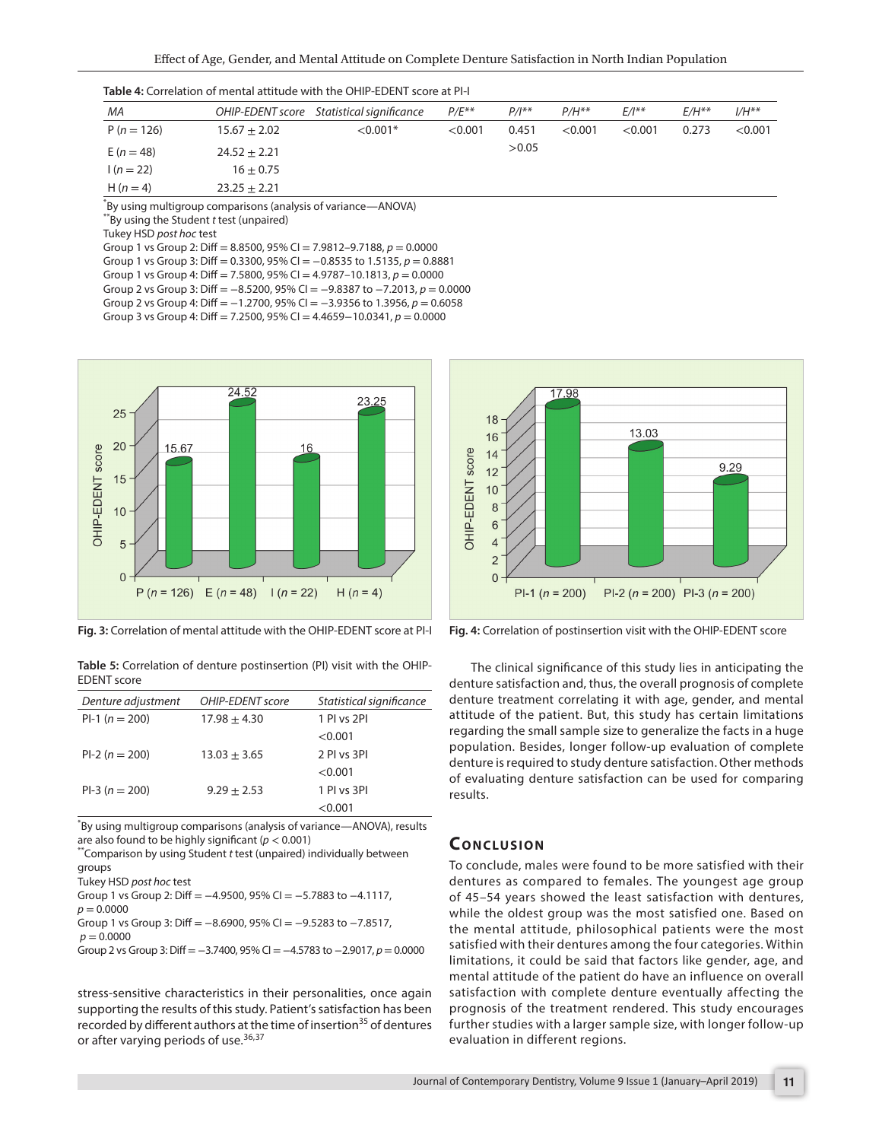| МA           |                  | OHIP-EDENT score Statistical significance | $P/E^{**}$ | $P/I^{**}$ | $P/H**$ | $E/I^{**}$ | $E/H**$ | $I/H^{**}$ |
|--------------|------------------|-------------------------------------------|------------|------------|---------|------------|---------|------------|
| $P(n = 126)$ | $15.67 \pm 2.02$ | $< 0.001*$                                | < 0.001    | 0.451      | < 0.001 | < 0.001    | 0.273   | < 0.001    |
| $E(n = 48)$  | $24.52 \pm 2.21$ |                                           |            | >0.05      |         |            |         |            |
| $1(n=22)$    | $16 \pm 0.75$    |                                           |            |            |         |            |         |            |
| $H(n=4)$     | $23.25 \pm 2.21$ |                                           |            |            |         |            |         |            |

| <b>Table 4:</b> Correlation of mental attitude with the OHIP-EDENT score at PI-I |  |
|----------------------------------------------------------------------------------|--|
|----------------------------------------------------------------------------------|--|

\* By using multigroup comparisons (analysis of variance—ANOVA)

\*\*By using the Student *t* test (unpaired)

Tukey HSD *post hoc* test

Group 1 vs Group 2: Diff = 8.8500, 95% CI = 7.9812–9.7188, *p* = 0.0000

Group 1 vs Group 3: Diff = 0.3300, 95% CI = −0.8535 to 1.5135, *p* = 0.8881

Group 1 vs Group 4: Diff = 7.5800, 95% CI =  $4.9787-10.1813$ ,  $p = 0.0000$ 

Group 2 vs Group 3: Diff = −8.5200, 95% CI = −9.8387 to −7.2013, *p* = 0.0000

Group 2 vs Group 4: Diff = −1.2700, 95% CI = −3.9356 to 1.3956, *p* = 0.6058 Group 3 vs Group 4: Diff = 7.2500, 95% CI = 4.4659−10.0341, *p* = 0.0000



**Fig. 3:** Correlation of mental attitude with the OHIP-EDENT score at PI-I

**Table 5:** Correlation of denture postinsertion (PI) visit with the OHIP-EDENT score

| Denture adjustment | OHIP-EDENT score | Statistical significance |
|--------------------|------------------|--------------------------|
| $Pl-1 (n = 200)$   | $17.98 \pm 4.30$ | 1 PI vs 2PI              |
|                    |                  | < 0.001                  |
| $Pl-2 (n = 200)$   | $13.03 + 3.65$   | 2 PI vs 3PI              |
|                    |                  | < 0.001                  |
| $PI-3(n = 200)$    | $9.29 + 2.53$    | 1 PI vs 3PI              |
|                    |                  | < 0.001                  |

\* By using multigroup comparisons (analysis of variance—ANOVA), results are also found to be highly significant ( $p < 0.001$ )<br>\*\*Comparison by using Student *t* test (unpaired) individually between

groups

Tukey HSD *post hoc* test

```
Group 1 vs Group 2: Diff = −4.9500, 95% CI = −5.7883 to −4.1117,
```
 $p = 0.0000$ 

Group 1 vs Group 3: Diff = −8.6900, 95% CI = −9.5283 to −7.8517,  $p = 0.0000$ 

Group 2 vs Group 3: Diff =−3.7400, 95% CI =−4.5783 to −2.9017, *p*= 0.0000

stress-sensitive characteristics in their personalities, once again supporting the results of this study. Patient's satisfaction has been recorded by different authors at the time of insertion<sup>35</sup> of dentures or after varying periods of use.<sup>36,37</sup>



**Fig. 4:** Correlation of postinsertion visit with the OHIP-EDENT score

The clinical significance of this study lies in anticipating the denture satisfaction and, thus, the overall prognosis of complete denture treatment correlating it with age, gender, and mental attitude of the patient. But, this study has certain limitations regarding the small sample size to generalize the facts in a huge population. Besides, longer follow-up evaluation of complete denture is required to study denture satisfaction. Other methods of evaluating denture satisfaction can be used for comparing results.

### **CONCLUSION**

To conclude, males were found to be more satisfied with their dentures as compared to females. The youngest age group of 45–54 years showed the least satisfaction with dentures, while the oldest group was the most satisfied one. Based on the mental attitude, philosophical patients were the most satisfied with their dentures among the four categories. Within limitations, it could be said that factors like gender, age, and mental attitude of the patient do have an influence on overall satisfaction with complete denture eventually affecting the prognosis of the treatment rendered. This study encourages further studies with a larger sample size, with longer follow-up evaluation in different regions.